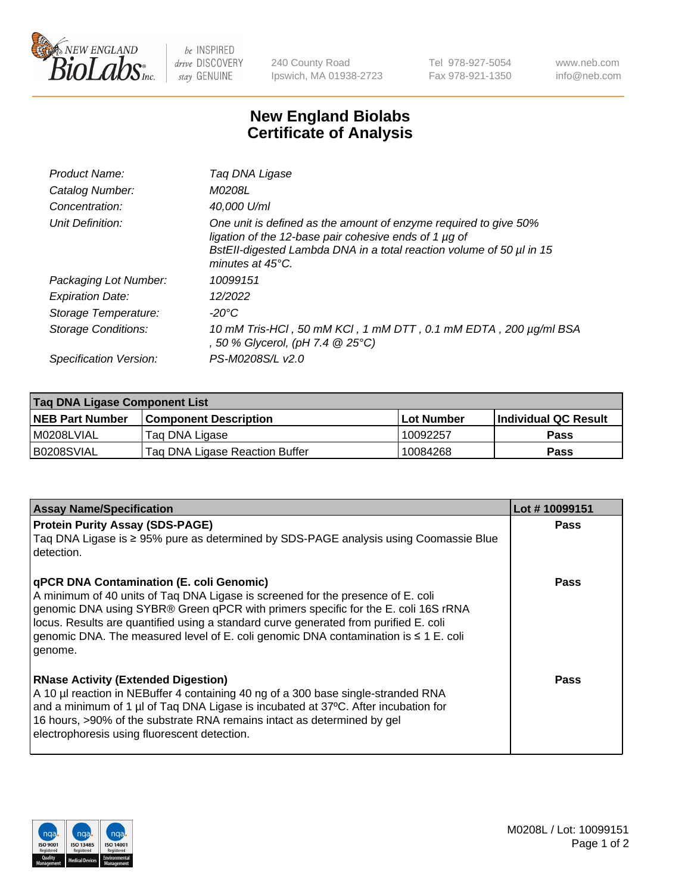

 $be$  INSPIRED drive DISCOVERY stay GENUINE

240 County Road Ipswich, MA 01938-2723 Tel 978-927-5054 Fax 978-921-1350 www.neb.com info@neb.com

## **New England Biolabs Certificate of Analysis**

| Product Name:              | Taq DNA Ligase                                                                                                                                                                                                                  |
|----------------------------|---------------------------------------------------------------------------------------------------------------------------------------------------------------------------------------------------------------------------------|
| Catalog Number:            | M0208L                                                                                                                                                                                                                          |
| Concentration:             | 40,000 U/ml                                                                                                                                                                                                                     |
| Unit Definition:           | One unit is defined as the amount of enzyme required to give 50%<br>ligation of the 12-base pair cohesive ends of 1 µg of<br>BstEll-digested Lambda DNA in a total reaction volume of 50 µl in 15<br>minutes at $45^{\circ}$ C. |
| Packaging Lot Number:      | 10099151                                                                                                                                                                                                                        |
| <b>Expiration Date:</b>    | 12/2022                                                                                                                                                                                                                         |
| Storage Temperature:       | $-20^{\circ}$ C                                                                                                                                                                                                                 |
| <b>Storage Conditions:</b> | 10 mM Tris-HCl, 50 mM KCl, 1 mM DTT, 0.1 mM EDTA, 200 µg/ml BSA<br>, 50 % Glycerol, (pH 7.4 @ 25°C)                                                                                                                             |
| Specification Version:     | PS-M0208S/L v2.0                                                                                                                                                                                                                |

| Taq DNA Ligase Component List |                                |            |                      |  |
|-------------------------------|--------------------------------|------------|----------------------|--|
| <b>NEB Part Number</b>        | <b>Component Description</b>   | Lot Number | Individual QC Result |  |
| M0208LVIAL                    | Tag DNA Ligase                 | 10092257   | <b>Pass</b>          |  |
| B0208SVIAL                    | Taq DNA Ligase Reaction Buffer | 10084268   | Pass                 |  |

| <b>Assay Name/Specification</b>                                                                                                                                                                                                                                                                                                                                                                                        | Lot #10099151 |
|------------------------------------------------------------------------------------------------------------------------------------------------------------------------------------------------------------------------------------------------------------------------------------------------------------------------------------------------------------------------------------------------------------------------|---------------|
| <b>Protein Purity Assay (SDS-PAGE)</b><br>Taq DNA Ligase is ≥ 95% pure as determined by SDS-PAGE analysis using Coomassie Blue<br>detection.                                                                                                                                                                                                                                                                           | <b>Pass</b>   |
| <b>qPCR DNA Contamination (E. coli Genomic)</b><br>A minimum of 40 units of Taq DNA Ligase is screened for the presence of E. coli<br>genomic DNA using SYBR® Green qPCR with primers specific for the E. coli 16S rRNA<br>locus. Results are quantified using a standard curve generated from purified E. coli<br>genomic DNA. The measured level of E. coli genomic DNA contamination is $\leq 1$ E. coli<br>genome. | <b>Pass</b>   |
| <b>RNase Activity (Extended Digestion)</b><br>A 10 µl reaction in NEBuffer 4 containing 40 ng of a 300 base single-stranded RNA<br>and a minimum of 1 µl of Taq DNA Ligase is incubated at $37^{\circ}$ C. After incubation for<br>16 hours, >90% of the substrate RNA remains intact as determined by gel<br>electrophoresis using fluorescent detection.                                                             | Pass          |